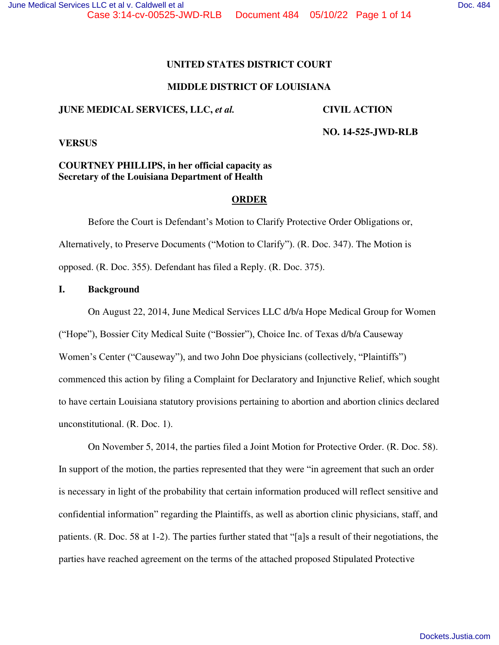## **UNITED STATES DISTRICT COURT**

## **MIDDLE DISTRICT OF LOUISIANA**

#### **JUNE MEDICAL SERVICES, LLC,** *et al.* **CIVIL ACTION**

 **NO. 14-525-JWD-RLB** 

**VERSUS** 

# **COURTNEY PHILLIPS, in her official capacity as Secretary of the Louisiana Department of Health**

#### **ORDER**

 Before the Court is Defendant's Motion to Clarify Protective Order Obligations or, Alternatively, to Preserve Documents ("Motion to Clarify"). (R. Doc. 347). The Motion is opposed. (R. Doc. 355). Defendant has filed a Reply. (R. Doc. 375).

#### **I. Background**

On August 22, 2014, June Medical Services LLC d/b/a Hope Medical Group for Women ("Hope"), Bossier City Medical Suite ("Bossier"), Choice Inc. of Texas d/b/a Causeway Women's Center ("Causeway"), and two John Doe physicians (collectively, "Plaintiffs") commenced this action by filing a Complaint for Declaratory and Injunctive Relief, which sought to have certain Louisiana statutory provisions pertaining to abortion and abortion clinics declared unconstitutional. (R. Doc. 1).

On November 5, 2014, the parties filed a Joint Motion for Protective Order. (R. Doc. 58). In support of the motion, the parties represented that they were "in agreement that such an order is necessary in light of the probability that certain information produced will reflect sensitive and confidential information" regarding the Plaintiffs, as well as abortion clinic physicians, staff, and patients. (R. Doc. 58 at 1-2). The parties further stated that "[a]s a result of their negotiations, the parties have reached agreement on the terms of the attached proposed Stipulated Protective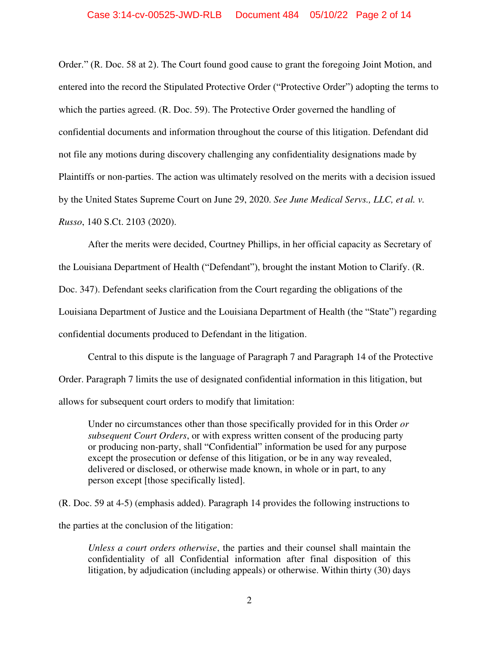Order." (R. Doc. 58 at 2). The Court found good cause to grant the foregoing Joint Motion, and entered into the record the Stipulated Protective Order ("Protective Order") adopting the terms to which the parties agreed. (R. Doc. 59). The Protective Order governed the handling of confidential documents and information throughout the course of this litigation. Defendant did not file any motions during discovery challenging any confidentiality designations made by Plaintiffs or non-parties. The action was ultimately resolved on the merits with a decision issued by the United States Supreme Court on June 29, 2020. *See June Medical Servs., LLC, et al. v. Russo*, 140 S.Ct. 2103 (2020).

After the merits were decided, Courtney Phillips, in her official capacity as Secretary of the Louisiana Department of Health ("Defendant"), brought the instant Motion to Clarify. (R. Doc. 347). Defendant seeks clarification from the Court regarding the obligations of the Louisiana Department of Justice and the Louisiana Department of Health (the "State") regarding confidential documents produced to Defendant in the litigation.

Central to this dispute is the language of Paragraph 7 and Paragraph 14 of the Protective Order. Paragraph 7 limits the use of designated confidential information in this litigation, but allows for subsequent court orders to modify that limitation:

Under no circumstances other than those specifically provided for in this Order *or subsequent Court Orders*, or with express written consent of the producing party or producing non-party, shall "Confidential" information be used for any purpose except the prosecution or defense of this litigation, or be in any way revealed, delivered or disclosed, or otherwise made known, in whole or in part, to any person except [those specifically listed].

(R. Doc. 59 at 4-5) (emphasis added). Paragraph 14 provides the following instructions to the parties at the conclusion of the litigation:

*Unless a court orders otherwise*, the parties and their counsel shall maintain the confidentiality of all Confidential information after final disposition of this litigation, by adjudication (including appeals) or otherwise. Within thirty (30) days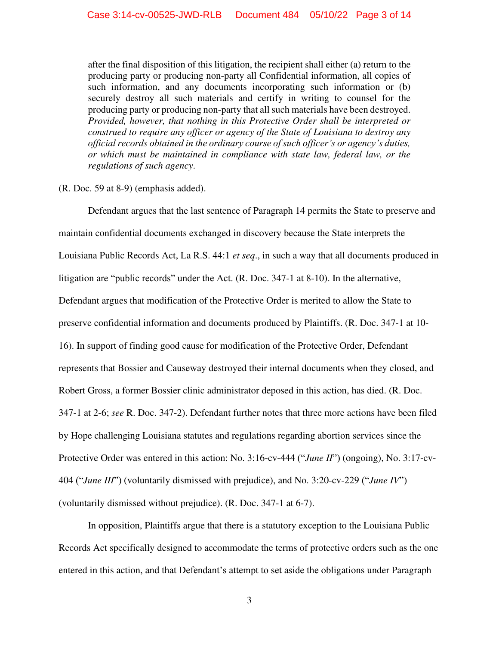after the final disposition of this litigation, the recipient shall either (a) return to the producing party or producing non-party all Confidential information, all copies of such information, and any documents incorporating such information or (b) securely destroy all such materials and certify in writing to counsel for the producing party or producing non-party that all such materials have been destroyed. *Provided, however, that nothing in this Protective Order shall be interpreted or construed to require any officer or agency of the State of Louisiana to destroy any official records obtained in the ordinary course of such officer's or agency's duties, or which must be maintained in compliance with state law, federal law, or the regulations of such agency*.

# (R. Doc. 59 at 8-9) (emphasis added).

Defendant argues that the last sentence of Paragraph 14 permits the State to preserve and maintain confidential documents exchanged in discovery because the State interprets the Louisiana Public Records Act, La R.S. 44:1 *et seq*., in such a way that all documents produced in litigation are "public records" under the Act. (R. Doc. 347-1 at 8-10). In the alternative, Defendant argues that modification of the Protective Order is merited to allow the State to preserve confidential information and documents produced by Plaintiffs. (R. Doc. 347-1 at 10- 16). In support of finding good cause for modification of the Protective Order, Defendant represents that Bossier and Causeway destroyed their internal documents when they closed, and Robert Gross, a former Bossier clinic administrator deposed in this action, has died. (R. Doc. 347-1 at 2-6; *see* R. Doc. 347-2). Defendant further notes that three more actions have been filed by Hope challenging Louisiana statutes and regulations regarding abortion services since the Protective Order was entered in this action: No. 3:16-cv-444 ("*June II*") (ongoing), No. 3:17-cv-404 ("*June III*") (voluntarily dismissed with prejudice), and No. 3:20-cv-229 ("*June IV*") (voluntarily dismissed without prejudice). (R. Doc. 347-1 at 6-7).

In opposition, Plaintiffs argue that there is a statutory exception to the Louisiana Public Records Act specifically designed to accommodate the terms of protective orders such as the one entered in this action, and that Defendant's attempt to set aside the obligations under Paragraph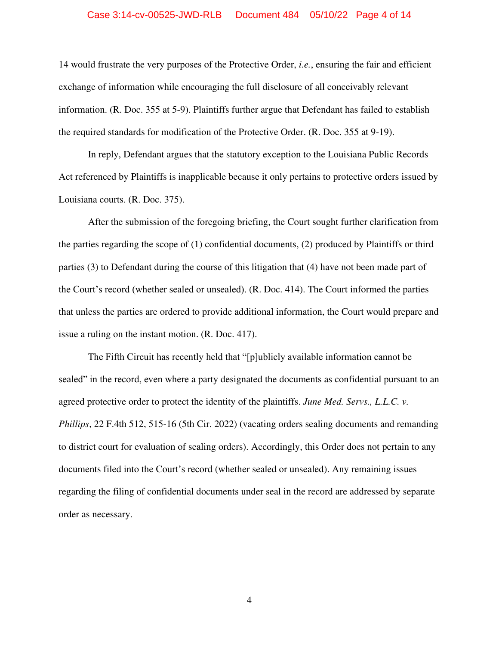#### Case 3:14-cv-00525-JWD-RLB Document 484 05/10/22 Page 4 of 14

14 would frustrate the very purposes of the Protective Order, *i.e.*, ensuring the fair and efficient exchange of information while encouraging the full disclosure of all conceivably relevant information. (R. Doc. 355 at 5-9). Plaintiffs further argue that Defendant has failed to establish the required standards for modification of the Protective Order. (R. Doc. 355 at 9-19).

In reply, Defendant argues that the statutory exception to the Louisiana Public Records Act referenced by Plaintiffs is inapplicable because it only pertains to protective orders issued by Louisiana courts. (R. Doc. 375).

After the submission of the foregoing briefing, the Court sought further clarification from the parties regarding the scope of (1) confidential documents, (2) produced by Plaintiffs or third parties (3) to Defendant during the course of this litigation that (4) have not been made part of the Court's record (whether sealed or unsealed). (R. Doc. 414). The Court informed the parties that unless the parties are ordered to provide additional information, the Court would prepare and issue a ruling on the instant motion. (R. Doc. 417).

The Fifth Circuit has recently held that "[p]ublicly available information cannot be sealed" in the record, even where a party designated the documents as confidential pursuant to an agreed protective order to protect the identity of the plaintiffs. *June Med. Servs., L.L.C. v. Phillips*, 22 F.4th 512, 515-16 (5th Cir. 2022) (vacating orders sealing documents and remanding to district court for evaluation of sealing orders). Accordingly, this Order does not pertain to any documents filed into the Court's record (whether sealed or unsealed). Any remaining issues regarding the filing of confidential documents under seal in the record are addressed by separate order as necessary.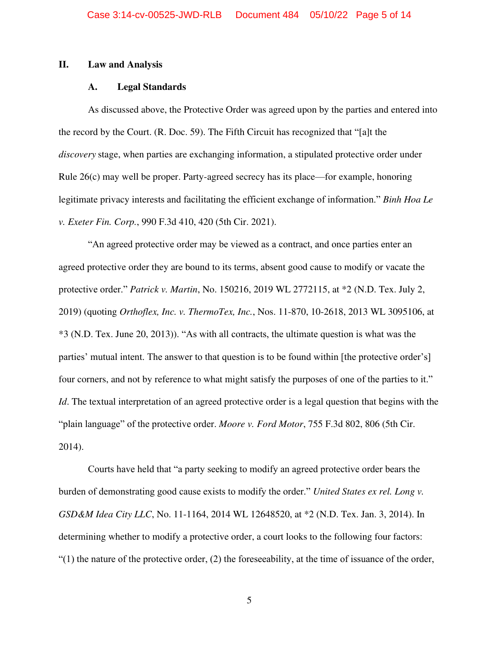#### **II. Law and Analysis**

#### **A. Legal Standards**

As discussed above, the Protective Order was agreed upon by the parties and entered into the record by the Court. (R. Doc. 59). The Fifth Circuit has recognized that "[a]t the  *discovery* stage, when parties are exchanging information, a stipulated protective order under Rule 26(c) may well be proper. Party-agreed secrecy has its place—for example, honoring legitimate privacy interests and facilitating the efficient exchange of information." *Binh Hoa Le v. Exeter Fin. Corp.*, 990 F.3d 410, 420 (5th Cir. 2021).

"An agreed protective order may be viewed as a contract, and once parties enter an agreed protective order they are bound to its terms, absent good cause to modify or vacate the protective order." *Patrick v. Martin*, No. 150216, 2019 WL 2772115, at \*2 (N.D. Tex. July 2, 2019) (quoting *Orthoflex, Inc. v. ThermoTex, Inc.*, Nos. 11-870, 10-2618, 2013 WL 3095106, at \*3 (N.D. Tex. June 20, 2013)). "As with all contracts, the ultimate question is what was the parties' mutual intent. The answer to that question is to be found within [the protective order's] four corners, and not by reference to what might satisfy the purposes of one of the parties to it." *Id*. The textual interpretation of an agreed protective order is a legal question that begins with the "plain language" of the protective order. *Moore v. Ford Motor*, 755 F.3d 802, 806 (5th Cir. 2014).

Courts have held that "a party seeking to modify an agreed protective order bears the burden of demonstrating good cause exists to modify the order." *United States ex rel. Long v. GSD&M Idea City LLC*, No. 11-1164, 2014 WL 12648520, at \*2 (N.D. Tex. Jan. 3, 2014). In determining whether to modify a protective order, a court looks to the following four factors:  $(1)$  the nature of the protective order, (2) the foreseeability, at the time of issuance of the order,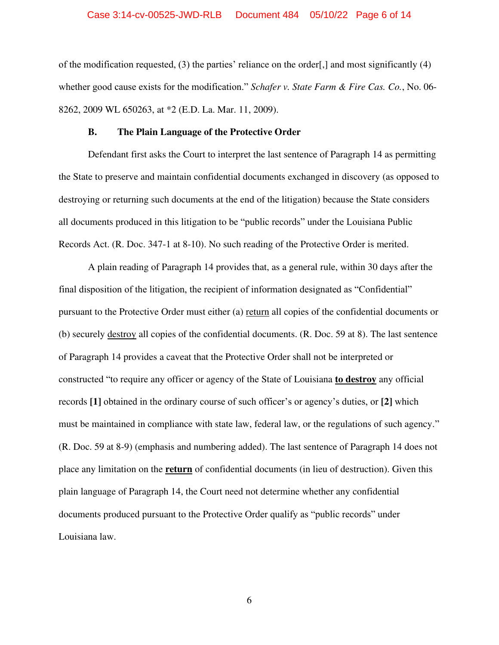#### Case 3:14-cv-00525-JWD-RLB Document 484 05/10/22 Page 6 of 14

of the modification requested, (3) the parties' reliance on the order[,] and most significantly (4) whether good cause exists for the modification." *Schafer v. State Farm & Fire Cas. Co.*, No. 06- 8262, 2009 WL 650263, at \*2 (E.D. La. Mar. 11, 2009).

#### **B. The Plain Language of the Protective Order**

Defendant first asks the Court to interpret the last sentence of Paragraph 14 as permitting the State to preserve and maintain confidential documents exchanged in discovery (as opposed to destroying or returning such documents at the end of the litigation) because the State considers all documents produced in this litigation to be "public records" under the Louisiana Public Records Act. (R. Doc. 347-1 at 8-10). No such reading of the Protective Order is merited.

A plain reading of Paragraph 14 provides that, as a general rule, within 30 days after the final disposition of the litigation, the recipient of information designated as "Confidential" pursuant to the Protective Order must either (a) return all copies of the confidential documents or (b) securely destroy all copies of the confidential documents. (R. Doc. 59 at 8). The last sentence of Paragraph 14 provides a caveat that the Protective Order shall not be interpreted or constructed "to require any officer or agency of the State of Louisiana **to destroy** any official records **[1]** obtained in the ordinary course of such officer's or agency's duties, or **[2]** which must be maintained in compliance with state law, federal law, or the regulations of such agency." (R. Doc. 59 at 8-9) (emphasis and numbering added). The last sentence of Paragraph 14 does not place any limitation on the **return** of confidential documents (in lieu of destruction). Given this plain language of Paragraph 14, the Court need not determine whether any confidential documents produced pursuant to the Protective Order qualify as "public records" under Louisiana law.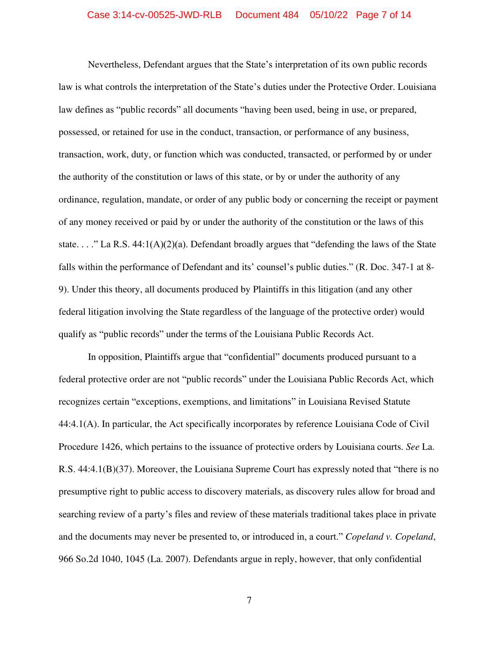#### Case 3:14-cv-00525-JWD-RLB Document 484 05/10/22 Page 7 of 14

Nevertheless, Defendant argues that the State's interpretation of its own public records law is what controls the interpretation of the State's duties under the Protective Order. Louisiana law defines as "public records" all documents "having been used, being in use, or prepared, possessed, or retained for use in the conduct, transaction, or performance of any business, transaction, work, duty, or function which was conducted, transacted, or performed by or under the authority of the constitution or laws of this state, or by or under the authority of any ordinance, regulation, mandate, or order of any public body or concerning the receipt or payment of any money received or paid by or under the authority of the constitution or the laws of this state. . . ." La R.S.  $44:1(A)(2)(a)$ . Defendant broadly argues that "defending the laws of the State" falls within the performance of Defendant and its' counsel's public duties." (R. Doc. 347-1 at 8- 9). Under this theory, all documents produced by Plaintiffs in this litigation (and any other federal litigation involving the State regardless of the language of the protective order) would qualify as "public records" under the terms of the Louisiana Public Records Act.

In opposition, Plaintiffs argue that "confidential" documents produced pursuant to a federal protective order are not "public records" under the Louisiana Public Records Act, which recognizes certain "exceptions, exemptions, and limitations" in Louisiana Revised Statute 44:4.1(A). In particular, the Act specifically incorporates by reference Louisiana Code of Civil Procedure 1426, which pertains to the issuance of protective orders by Louisiana courts. *See* La. R.S. 44:4.1(B)(37). Moreover, the Louisiana Supreme Court has expressly noted that "there is no presumptive right to public access to discovery materials, as discovery rules allow for broad and searching review of a party's files and review of these materials traditional takes place in private and the documents may never be presented to, or introduced in, a court." *Copeland v. Copeland*, 966 So.2d 1040, 1045 (La. 2007). Defendants argue in reply, however, that only confidential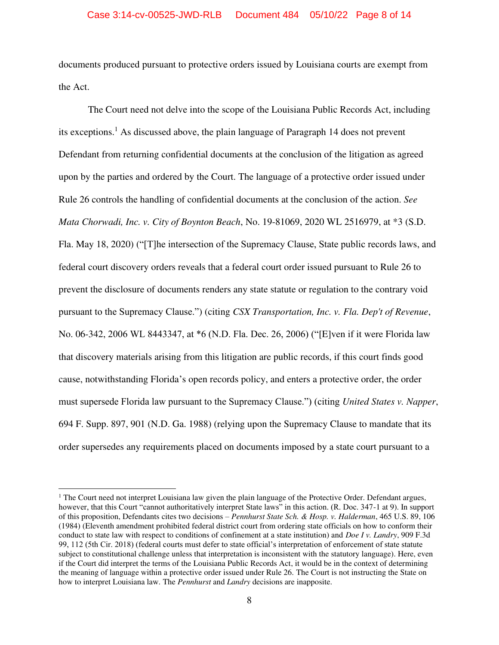documents produced pursuant to protective orders issued by Louisiana courts are exempt from the Act.

 The Court need not delve into the scope of the Louisiana Public Records Act, including its exceptions.<sup>1</sup> As discussed above, the plain language of Paragraph 14 does not prevent Defendant from returning confidential documents at the conclusion of the litigation as agreed upon by the parties and ordered by the Court. The language of a protective order issued under Rule 26 controls the handling of confidential documents at the conclusion of the action. *See Mata Chorwadi, Inc. v. City of Boynton Beach*, No. 19-81069, 2020 WL 2516979, at \*3 (S.D. Fla. May 18, 2020) ("[T]he intersection of the Supremacy Clause, State public records laws, and federal court discovery orders reveals that a federal court order issued pursuant to Rule 26 to prevent the disclosure of documents renders any state statute or regulation to the contrary void pursuant to the Supremacy Clause.") (citing *CSX Transportation, Inc. v. Fla. Dep't of Revenue*, No. 06-342, 2006 WL 8443347, at \*6 (N.D. Fla. Dec. 26, 2006) ("[E]ven if it were Florida law that discovery materials arising from this litigation are public records, if this court finds good cause, notwithstanding Florida's open records policy, and enters a protective order, the order must supersede Florida law pursuant to the Supremacy Clause.") (citing *United States v. Napper*, 694 F. Supp. 897, 901 (N.D. Ga. 1988) (relying upon the Supremacy Clause to mandate that its order supersedes any requirements placed on documents imposed by a state court pursuant to a

 $<sup>1</sup>$  The Court need not interpret Louisiana law given the plain language of the Protective Order. Defendant argues,</sup> however, that this Court "cannot authoritatively interpret State laws" in this action. (R. Doc. 347-1 at 9). In support of this proposition, Defendants cites two decisions – *Pennhurst State Sch. & Hosp. v. Halderman*, 465 U.S. 89, 106 (1984) (Eleventh amendment prohibited federal district court from ordering state officials on how to conform their conduct to state law with respect to conditions of confinement at a state institution) and *Doe I v. Landry*, 909 F.3d 99, 112 (5th Cir. 2018) (federal courts must defer to state official's interpretation of enforcement of state statute subject to constitutional challenge unless that interpretation is inconsistent with the statutory language). Here, even if the Court did interpret the terms of the Louisiana Public Records Act, it would be in the context of determining the meaning of language within a protective order issued under Rule 26. The Court is not instructing the State on how to interpret Louisiana law. The *Pennhurst* and *Landry* decisions are inapposite.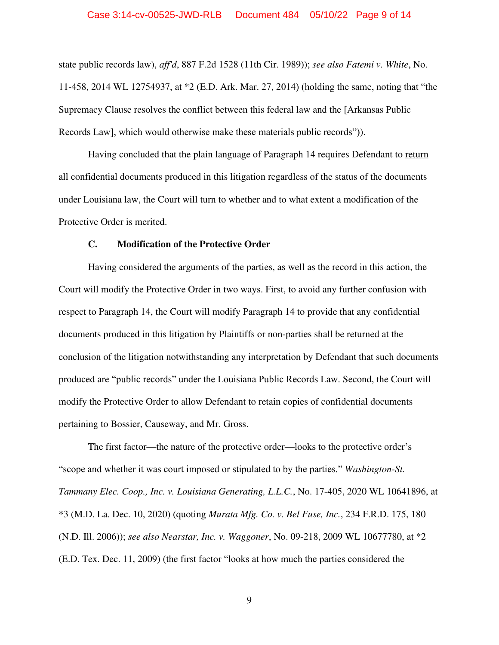state public records law), *aff'd*, 887 F.2d 1528 (11th Cir. 1989)); *see also Fatemi v. White*, No. 11-458, 2014 WL 12754937, at \*2 (E.D. Ark. Mar. 27, 2014) (holding the same, noting that "the Supremacy Clause resolves the conflict between this federal law and the [Arkansas Public Records Law], which would otherwise make these materials public records")).

 Having concluded that the plain language of Paragraph 14 requires Defendant to return all confidential documents produced in this litigation regardless of the status of the documents under Louisiana law, the Court will turn to whether and to what extent a modification of the Protective Order is merited.

#### **C. Modification of the Protective Order**

 Having considered the arguments of the parties, as well as the record in this action, the Court will modify the Protective Order in two ways. First, to avoid any further confusion with respect to Paragraph 14, the Court will modify Paragraph 14 to provide that any confidential documents produced in this litigation by Plaintiffs or non-parties shall be returned at the conclusion of the litigation notwithstanding any interpretation by Defendant that such documents produced are "public records" under the Louisiana Public Records Law. Second, the Court will modify the Protective Order to allow Defendant to retain copies of confidential documents pertaining to Bossier, Causeway, and Mr. Gross.

 The first factor—the nature of the protective order—looks to the protective order's "scope and whether it was court imposed or stipulated to by the parties." *Washington-St. Tammany Elec. Coop., Inc. v. Louisiana Generating, L.L.C.*, No. 17-405, 2020 WL 10641896, at \*3 (M.D. La. Dec. 10, 2020) (quoting *Murata Mfg. Co. v. Bel Fuse, Inc.*, 234 F.R.D. 175, 180 (N.D. Ill. 2006)); *see also Nearstar, Inc. v. Waggoner*, No. 09-218, 2009 WL 10677780, at \*2 (E.D. Tex. Dec. 11, 2009) (the first factor "looks at how much the parties considered the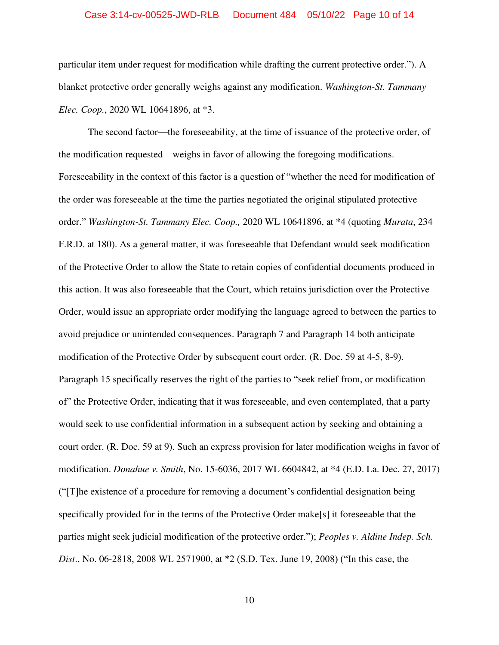#### Case 3:14-cv-00525-JWD-RLB Document 484 05/10/22 Page 10 of 14

particular item under request for modification while drafting the current protective order."). A blanket protective order generally weighs against any modification. *Washington-St. Tammany Elec. Coop.*, 2020 WL 10641896, at \*3.

 The second factor—the foreseeability, at the time of issuance of the protective order, of the modification requested—weighs in favor of allowing the foregoing modifications. Foreseeability in the context of this factor is a question of "whether the need for modification of the order was foreseeable at the time the parties negotiated the original stipulated protective order." *Washington-St. Tammany Elec. Coop.,* 2020 WL 10641896, at \*4 (quoting *Murata*, 234 F.R.D. at 180). As a general matter, it was foreseeable that Defendant would seek modification of the Protective Order to allow the State to retain copies of confidential documents produced in this action. It was also foreseeable that the Court, which retains jurisdiction over the Protective Order, would issue an appropriate order modifying the language agreed to between the parties to avoid prejudice or unintended consequences. Paragraph 7 and Paragraph 14 both anticipate modification of the Protective Order by subsequent court order. (R. Doc. 59 at 4-5, 8-9). Paragraph 15 specifically reserves the right of the parties to "seek relief from, or modification of" the Protective Order, indicating that it was foreseeable, and even contemplated, that a party would seek to use confidential information in a subsequent action by seeking and obtaining a court order. (R. Doc. 59 at 9). Such an express provision for later modification weighs in favor of modification. *Donahue v. Smith*, No. 15-6036, 2017 WL 6604842, at \*4 (E.D. La. Dec. 27, 2017) ("[T]he existence of a procedure for removing a document's confidential designation being specifically provided for in the terms of the Protective Order make[s] it foreseeable that the parties might seek judicial modification of the protective order."); *Peoples v. Aldine Indep. Sch. Dist*., No. 06-2818, 2008 WL 2571900, at \*2 (S.D. Tex. June 19, 2008) ("In this case, the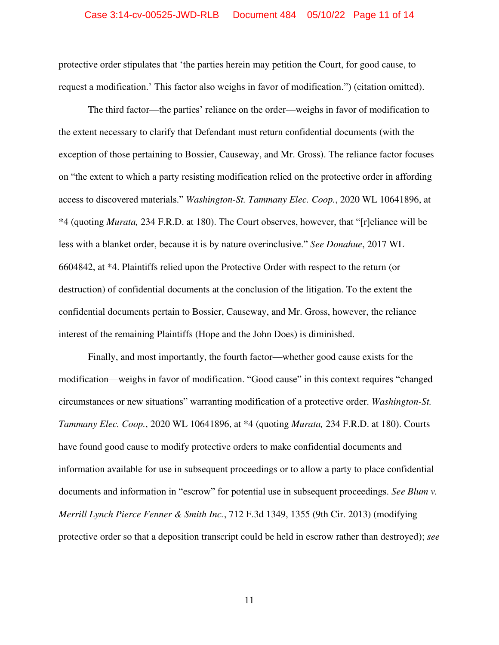#### Case 3:14-cv-00525-JWD-RLB Document 484 05/10/22 Page 11 of 14

protective order stipulates that 'the parties herein may petition the Court, for good cause, to request a modification.' This factor also weighs in favor of modification.") (citation omitted).

 The third factor—the parties' reliance on the order—weighs in favor of modification to the extent necessary to clarify that Defendant must return confidential documents (with the exception of those pertaining to Bossier, Causeway, and Mr. Gross). The reliance factor focuses on "the extent to which a party resisting modification relied on the protective order in affording access to discovered materials." *Washington-St. Tammany Elec. Coop.*, 2020 WL 10641896, at \*4 (quoting *Murata,* 234 F.R.D. at 180). The Court observes, however, that "[r]eliance will be less with a blanket order, because it is by nature overinclusive." *See Donahue*, 2017 WL 6604842, at \*4. Plaintiffs relied upon the Protective Order with respect to the return (or destruction) of confidential documents at the conclusion of the litigation. To the extent the confidential documents pertain to Bossier, Causeway, and Mr. Gross, however, the reliance interest of the remaining Plaintiffs (Hope and the John Does) is diminished.

 Finally, and most importantly, the fourth factor—whether good cause exists for the modification—weighs in favor of modification. "Good cause" in this context requires "changed circumstances or new situations" warranting modification of a protective order. *Washington-St. Tammany Elec. Coop.*, 2020 WL 10641896, at \*4 (quoting *Murata,* 234 F.R.D. at 180). Courts have found good cause to modify protective orders to make confidential documents and information available for use in subsequent proceedings or to allow a party to place confidential documents and information in "escrow" for potential use in subsequent proceedings. *See Blum v. Merrill Lynch Pierce Fenner & Smith Inc.*, 712 F.3d 1349, 1355 (9th Cir. 2013) (modifying protective order so that a deposition transcript could be held in escrow rather than destroyed); *see*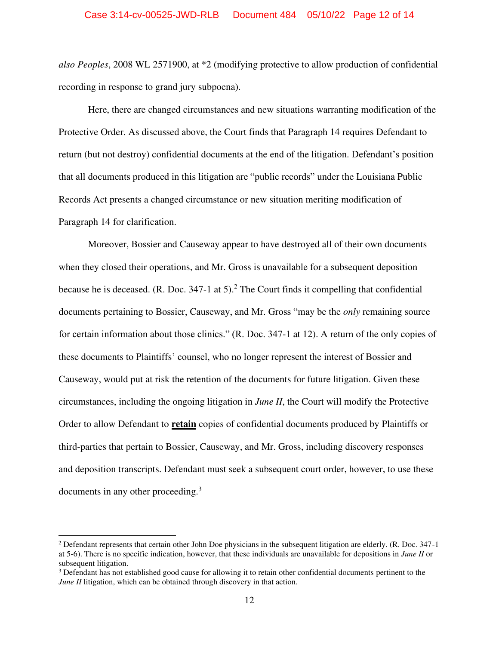*also Peoples*, 2008 WL 2571900, at \*2 (modifying protective to allow production of confidential recording in response to grand jury subpoena).

Here, there are changed circumstances and new situations warranting modification of the Protective Order. As discussed above, the Court finds that Paragraph 14 requires Defendant to return (but not destroy) confidential documents at the end of the litigation. Defendant's position that all documents produced in this litigation are "public records" under the Louisiana Public Records Act presents a changed circumstance or new situation meriting modification of Paragraph 14 for clarification.

Moreover, Bossier and Causeway appear to have destroyed all of their own documents when they closed their operations, and Mr. Gross is unavailable for a subsequent deposition because he is deceased.  $(R. Doc. 347-1 at 5)$ .<sup>2</sup> The Court finds it compelling that confidential documents pertaining to Bossier, Causeway, and Mr. Gross "may be the *only* remaining source for certain information about those clinics." (R. Doc. 347-1 at 12). A return of the only copies of these documents to Plaintiffs' counsel, who no longer represent the interest of Bossier and Causeway, would put at risk the retention of the documents for future litigation. Given these circumstances, including the ongoing litigation in *June II*, the Court will modify the Protective Order to allow Defendant to **retain** copies of confidential documents produced by Plaintiffs or third-parties that pertain to Bossier, Causeway, and Mr. Gross, including discovery responses and deposition transcripts. Defendant must seek a subsequent court order, however, to use these documents in any other proceeding.<sup>3</sup>

<sup>&</sup>lt;sup>2</sup> Defendant represents that certain other John Doe physicians in the subsequent litigation are elderly. (R. Doc. 347-1 at 5-6). There is no specific indication, however, that these individuals are unavailable for depositions in *June II* or subsequent litigation.

 $3$  Defendant has not established good cause for allowing it to retain other confidential documents pertinent to the *June II* litigation, which can be obtained through discovery in that action.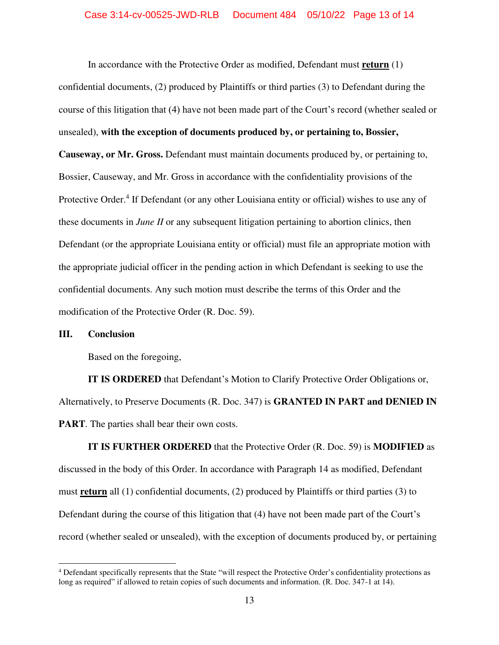In accordance with the Protective Order as modified, Defendant must **return** (1) confidential documents, (2) produced by Plaintiffs or third parties (3) to Defendant during the course of this litigation that (4) have not been made part of the Court's record (whether sealed or unsealed), **with the exception of documents produced by, or pertaining to, Bossier, Causeway, or Mr. Gross.** Defendant must maintain documents produced by, or pertaining to, Bossier, Causeway, and Mr. Gross in accordance with the confidentiality provisions of the Protective Order.<sup>4</sup> If Defendant (or any other Louisiana entity or official) wishes to use any of these documents in *June II* or any subsequent litigation pertaining to abortion clinics, then Defendant (or the appropriate Louisiana entity or official) must file an appropriate motion with the appropriate judicial officer in the pending action in which Defendant is seeking to use the confidential documents. Any such motion must describe the terms of this Order and the modification of the Protective Order (R. Doc. 59).

## **III. Conclusion**

Based on the foregoing,

**IT IS ORDERED** that Defendant's Motion to Clarify Protective Order Obligations or, Alternatively, to Preserve Documents (R. Doc. 347) is **GRANTED IN PART and DENIED IN PART**. The parties shall bear their own costs.

**IT IS FURTHER ORDERED** that the Protective Order (R. Doc. 59) is **MODIFIED** as discussed in the body of this Order. In accordance with Paragraph 14 as modified, Defendant must **return** all (1) confidential documents, (2) produced by Plaintiffs or third parties (3) to Defendant during the course of this litigation that (4) have not been made part of the Court's record (whether sealed or unsealed), with the exception of documents produced by, or pertaining

<sup>&</sup>lt;sup>4</sup> Defendant specifically represents that the State "will respect the Protective Order's confidentiality protections as long as required" if allowed to retain copies of such documents and information. (R. Doc. 347-1 at 14).